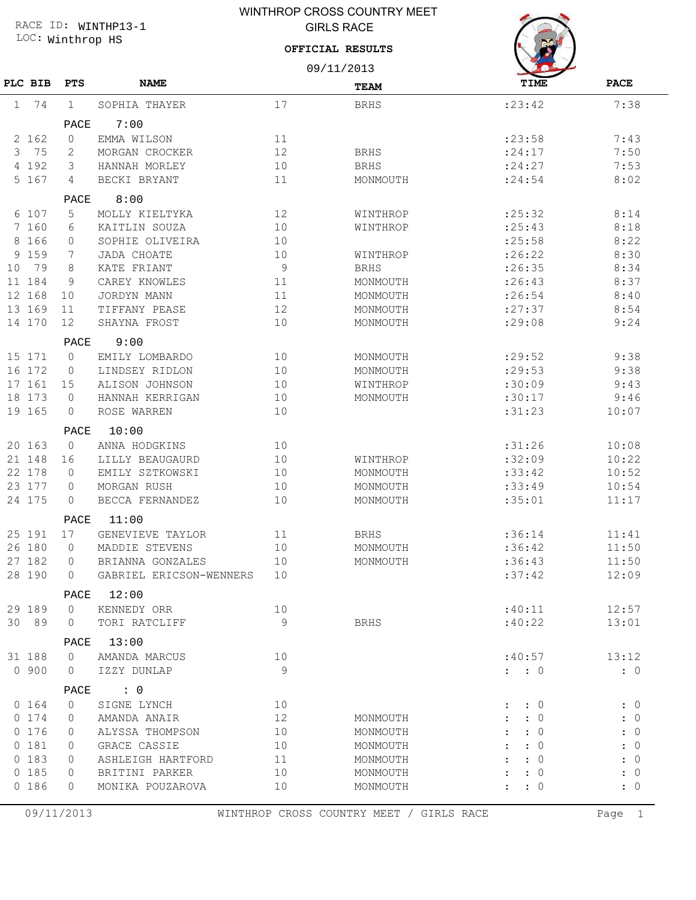## LOC: Winthrop HS RACE ID: WINTHP13-1

## WINTHROP CROSS COUNTRY MEET GIRLS RACE

#### **OFFICIAL RESULTS**



|          |                |                            | 09/11/2013     |                                          |                     |             |
|----------|----------------|----------------------------|----------------|------------------------------------------|---------------------|-------------|
| PLC BIB  | <b>PTS</b>     | <b>NAME</b>                |                | <b>TEAM</b>                              | TIME                | <b>PACE</b> |
| 74<br>1  | $\mathbf{1}$   | SOPHIA THAYER              | 17             | <b>BRHS</b>                              | : 23:42             | 7:38        |
|          | PACE           | 7:00                       |                |                                          |                     |             |
| 2 162    | 0              | EMMA WILSON                | 11             |                                          | : 23:58             | 7:43        |
| 3<br>75  | 2              | MORGAN CROCKER             | 12             | <b>BRHS</b>                              | : 24:17             | 7:50        |
| 192<br>4 | 3              | HANNAH MORLEY              | 10             | <b>BRHS</b>                              | : 24:27             | 7:53        |
| 5 167    | 4              | BECKI BRYANT               | 11             | MONMOUTH                                 | : 24:54             | 8:02        |
|          | PACE           | 8:00                       |                |                                          |                     |             |
| 6 107    | 5              | MOLLY KIELTYKA             | 12             | WINTHROP                                 | : 25: 32            | 8:14        |
| 7 160    | 6              | KAITLIN SOUZA              | 10             | WINTHROP                                 | : 25:43             | 8:18        |
| 8 166    | 0              | SOPHIE OLIVEIRA            | 10             |                                          | :25:58              | 8:22        |
| 159<br>9 | 7              | <b>JADA CHOATE</b>         | 10             | WINTHROP                                 | : 26:22             | 8:30        |
| 79<br>10 | 8              | KATE FRIANT                | $\overline{9}$ | <b>BRHS</b>                              | : 26:35             | 8:34        |
| 11 184   | 9              | CAREY KNOWLES              | 11             | MONMOUTH                                 | : 26:43             | 8:37        |
| 12 168   | 10             | <b>JORDYN MANN</b>         | 11             | MONMOUTH                                 | : 26:54             | 8:40        |
| 13 169   | 11             | TIFFANY PEASE              | 12             | MONMOUTH                                 | : 27:37             | 8:54        |
| 14 170   | 12             | SHAYNA FROST               | 10             | MONMOUTH                                 | : 29:08             | 9:24        |
|          | PACE           | 9:00                       |                |                                          |                     |             |
| 15 171   | $\mathbf{0}$   | EMILY LOMBARDO             | 10             | MONMOUTH                                 | : 29:52             | 9:38        |
| 16 172   | $\circ$        | LINDSEY RIDLON             | 10             | MONMOUTH                                 | :29:53              | 9:38        |
| 17 161   | 15             | ALISON JOHNSON             | 10             |                                          |                     | 9:43        |
| 18 173   | $\circ$        | HANNAH KERRIGAN            | 10             | WINTHROP                                 | :30:09              | 9:46        |
| 19 165   | 0              | ROSE WARREN                | 10             | MONMOUTH                                 | :30:17<br>: 31:23   | 10:07       |
|          |                |                            |                |                                          |                     |             |
|          | PACE           | 10:00                      |                |                                          |                     |             |
| 20 163   | $\circ$        | ANNA HODGKINS              | 10             |                                          | :31:26              | 10:08       |
| 21 148   | 16             | LILLY BEAUGAURD            | 10             | WINTHROP                                 | :32:09              | 10:22       |
| 22 178   | $\circ$        | EMILY SZTKOWSKI            | 10             | MONMOUTH                                 | :33:42              | 10:52       |
| 23 177   | 0              | MORGAN RUSH                | 10             | MONMOUTH                                 | :33:49              | 10:54       |
| 24 175   | 0              | BECCA FERNANDEZ            | 10<br>MONMOUTH |                                          | :35:01              | 11:17       |
|          | PACE           | 11:00                      |                |                                          |                     |             |
| 25 191   | 17             | GENEVIEVE TAYLOR           | 11             | <b>BRHS</b>                              | :36:14              | 11:41       |
| 26 180   | $\circ$        | MADDIE STEVENS             | 10             | MONMOUTH                                 | :36:42              | 11:50       |
| 27 182   | 0              | BRIANNA GONZALES           | 10             | MONMOUTH                                 | :36:43              | 11:50       |
| 28 190   | $\circledcirc$ | GABRIEL ERICSON-WENNERS 10 |                |                                          | :37:42              | 12:09       |
|          |                | PACE 12:00                 |                |                                          |                     |             |
| 29 189   | $\circ$        | KENNEDY ORR                | 10             |                                          | :40:11              | 12:57       |
| 30 89    | 0              | TORI RATCLIFF              | 9              | BRHS                                     | :40:22              | 13:01       |
|          | PACE           | 13:00                      |                |                                          |                     |             |
| 31 188   | $\circ$        | AMANDA MARCUS              | 10             |                                          | :40:57              | 13:12       |
| 0 900    | $\Omega$       | IZZY DUNLAP                | 9              |                                          | $\colon$ $\colon$ 0 | : 0         |
|          | PACE           | $\cdot$ 0                  |                |                                          |                     |             |
| 0 164    | $\circ$        | SIGNE LYNCH                | 10             |                                          | $\colon 0$          | : 0         |
| 0 174    | $\Omega$       | AMANDA ANAIR               | 12             | MONMOUTH                                 | $\colon 0$          | : 0         |
| 0 176    | $\Omega$       | ALYSSA THOMPSON            | 10             | MONMOUTH                                 | $\colon 0$          | : 0         |
| 0 181    | 0              | GRACE CASSIE               | 10             | MONMOUTH                                 | $\colon 0$          | : 0         |
| 0 183    | 0              | ASHLEIGH HARTFORD          | 11             | MONMOUTH                                 | : 0                 | : 0         |
| 0 185    | 0              | BRITINI PARKER             | 10             | MONMOUTH                                 | $\colon 0$          | : 0         |
| 0 186    | $\Omega$       | MONIKA POUZAROVA           | 10             | MONMOUTH                                 | $\colon 0$          | : 0         |
|          |                |                            |                |                                          |                     |             |
|          | 09/11/2013     |                            |                | WINTHROP CROSS COUNTRY MEET / GIRLS RACE |                     | Page 1      |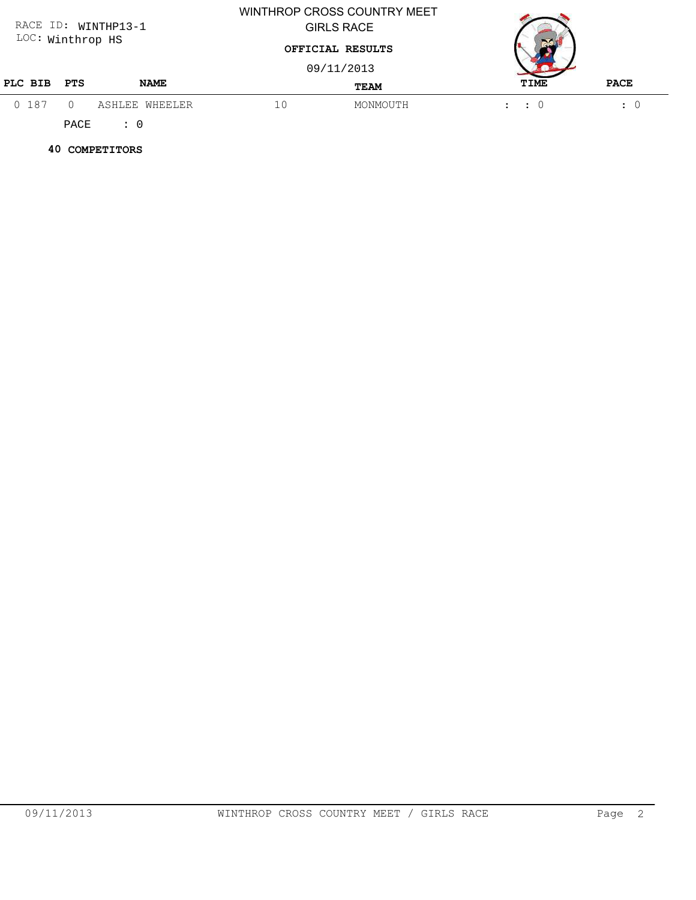| RACE ID: WINTHP13-1 |     |                |                  | WINTHROP CROSS COUNTRY MEET<br><b>GIRLS RACE</b> |                             |                      |
|---------------------|-----|----------------|------------------|--------------------------------------------------|-----------------------------|----------------------|
| LOC: Winthrop HS    |     |                | OFFICIAL RESULTS |                                                  |                             |                      |
|                     |     |                |                  | 09/11/2013                                       |                             |                      |
| PLC BIB             | PTS | <b>NAME</b>    |                  | <b>TEAM</b>                                      | TIME                        | <b>PACE</b>          |
| 0 187               |     | ASHLEE WHEELER | 10               | MONMOUTH                                         | $\therefore$ $\therefore$ 0 | $\ddot{\phantom{a}}$ |

 **40 COMPETITORS**

PACE : 0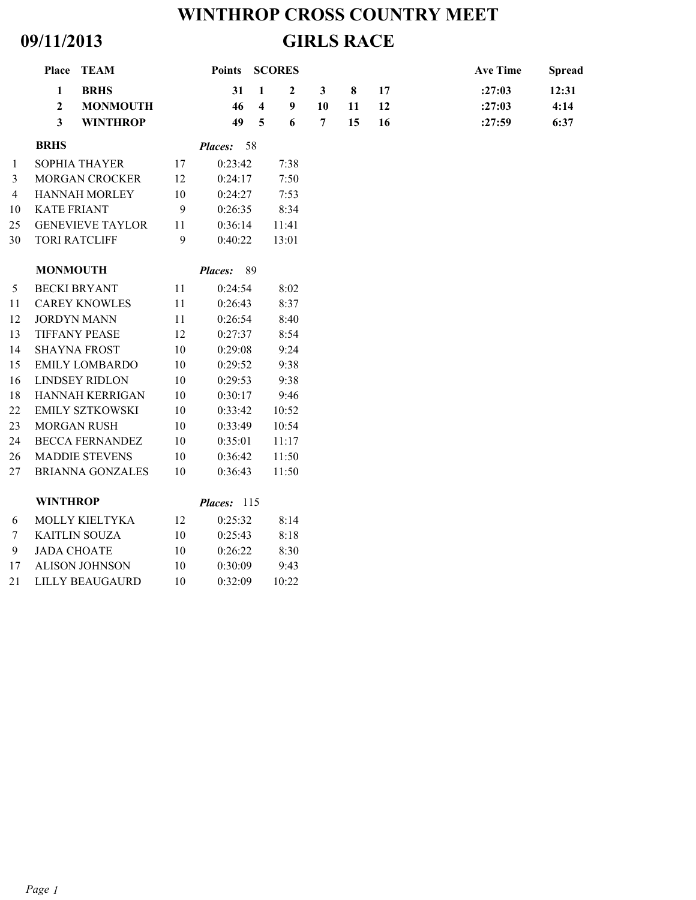# **WINTHROP CROSS COUNTRY MEET 09/11/2013 GIRLS RACE**

|                | Place TEAM                                                                                                     |    | Points         |                                                           | <b>SCORES</b>                             |                                      |               |                | <b>Ave Time</b>            | <b>Spread</b>         |
|----------------|----------------------------------------------------------------------------------------------------------------|----|----------------|-----------------------------------------------------------|-------------------------------------------|--------------------------------------|---------------|----------------|----------------------------|-----------------------|
|                | $\mathbf{1}$<br><b>BRHS</b><br>$\overline{2}$<br><b>MONMOUTH</b><br>$\overline{\mathbf{3}}$<br><b>WINTHROP</b> |    | 31<br>46<br>49 | $\mathbf{1}$<br>$\overline{\mathbf{4}}$<br>$\overline{5}$ | $\boldsymbol{2}$<br>$\boldsymbol{9}$<br>6 | $\mathbf{3}$<br>10<br>$\overline{7}$ | 8<br>11<br>15 | 17<br>12<br>16 | :27:03<br>:27:03<br>:27:59 | 12:31<br>4:14<br>6:37 |
|                | <b>BRHS</b>                                                                                                    |    | Places: 58     |                                                           |                                           |                                      |               |                |                            |                       |
| 1              | SOPHIA THAYER                                                                                                  | 17 | 0:23:42        |                                                           | 7:38                                      |                                      |               |                |                            |                       |
| 3              | MORGAN CROCKER                                                                                                 | 12 | 0:24:17        |                                                           | 7:50                                      |                                      |               |                |                            |                       |
| $\overline{4}$ | <b>HANNAH MORLEY</b>                                                                                           | 10 | 0:24:27        |                                                           | 7:53                                      |                                      |               |                |                            |                       |
| 10             | <b>KATE FRIANT</b>                                                                                             | 9  | 0:26:35        |                                                           | 8:34                                      |                                      |               |                |                            |                       |
| 25             | <b>GENEVIEVE TAYLOR</b>                                                                                        | 11 | 0:36:14        |                                                           | 11:41                                     |                                      |               |                |                            |                       |
| 30             | <b>TORI RATCLIFF</b>                                                                                           | 9  | 0:40:22        |                                                           | 13:01                                     |                                      |               |                |                            |                       |
|                | <b>MONMOUTH</b>                                                                                                |    | Places: 89     |                                                           |                                           |                                      |               |                |                            |                       |
| 5              | <b>BECKI BRYANT</b>                                                                                            | 11 | 0:24:54        |                                                           | 8:02                                      |                                      |               |                |                            |                       |
| 11             | <b>CAREY KNOWLES</b>                                                                                           | 11 | 0:26:43        |                                                           | 8:37                                      |                                      |               |                |                            |                       |
| 12             | <b>JORDYN MANN</b>                                                                                             | 11 | 0:26:54        |                                                           | 8:40                                      |                                      |               |                |                            |                       |
| 13             | <b>TIFFANY PEASE</b>                                                                                           | 12 | 0:27:37        |                                                           | 8:54                                      |                                      |               |                |                            |                       |
| 14             | <b>SHAYNA FROST</b>                                                                                            | 10 | 0:29:08        |                                                           | 9:24                                      |                                      |               |                |                            |                       |
| 15             | <b>EMILY LOMBARDO</b>                                                                                          | 10 | 0:29:52        |                                                           | 9:38                                      |                                      |               |                |                            |                       |
| 16             | <b>LINDSEY RIDLON</b>                                                                                          | 10 | 0:29:53        |                                                           | 9:38                                      |                                      |               |                |                            |                       |
| 18             | HANNAH KERRIGAN                                                                                                | 10 | 0:30:17        |                                                           | 9:46                                      |                                      |               |                |                            |                       |
| 22             | <b>EMILY SZTKOWSKI</b>                                                                                         | 10 | 0:33:42        |                                                           | 10:52                                     |                                      |               |                |                            |                       |
| 23             | <b>MORGAN RUSH</b>                                                                                             | 10 | 0:33:49        |                                                           | 10:54                                     |                                      |               |                |                            |                       |
| 24             | <b>BECCA FERNANDEZ</b>                                                                                         | 10 | 0:35:01        |                                                           | 11:17                                     |                                      |               |                |                            |                       |
| 26             | <b>MADDIE STEVENS</b>                                                                                          | 10 | 0:36:42        |                                                           | 11:50                                     |                                      |               |                |                            |                       |
| 27             | <b>BRIANNA GONZALES</b>                                                                                        | 10 | 0:36:43        |                                                           | 11:50                                     |                                      |               |                |                            |                       |
|                | <b>WINTHROP</b>                                                                                                |    | Places: 115    |                                                           |                                           |                                      |               |                |                            |                       |
| 6              | MOLLY KIELTYKA                                                                                                 | 12 | 0:25:32        |                                                           | 8:14                                      |                                      |               |                |                            |                       |
| $\tau$         | <b>KAITLIN SOUZA</b>                                                                                           | 10 | 0:25:43        |                                                           | 8:18                                      |                                      |               |                |                            |                       |
| 9              | <b>JADA CHOATE</b>                                                                                             | 10 | 0:26:22        |                                                           | 8:30                                      |                                      |               |                |                            |                       |
| 17             | <b>ALISON JOHNSON</b>                                                                                          | 10 | 0:30:09        |                                                           | 9:43                                      |                                      |               |                |                            |                       |
| 21             | <b>LILLY BEAUGAURD</b>                                                                                         | 10 | 0:32:09        |                                                           | 10:22                                     |                                      |               |                |                            |                       |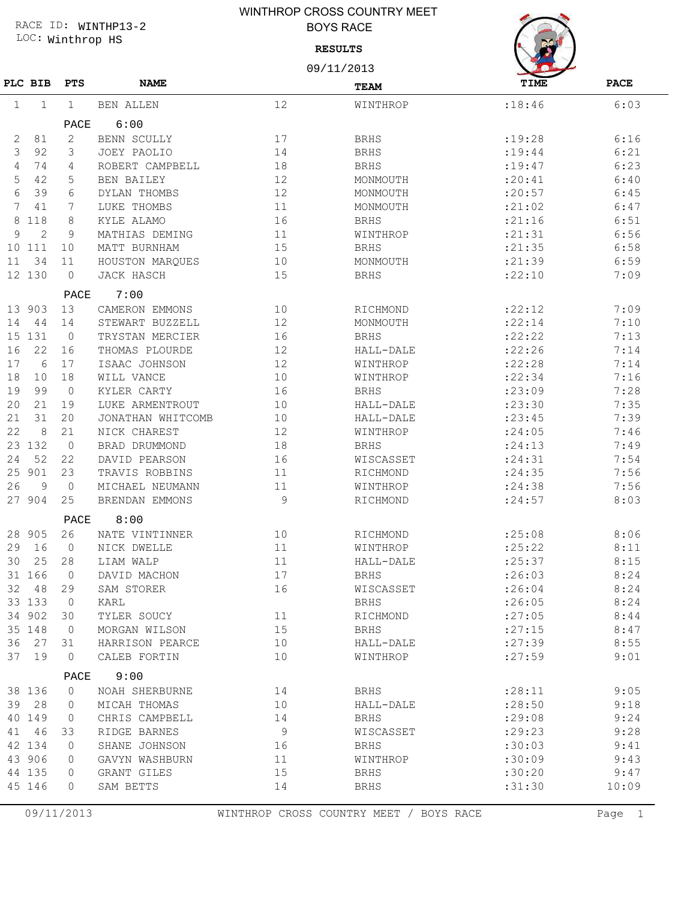## WINTHROP CROSS COUNTRY MEET BOYS RACE

LOC: Winthrop HS RACE ID: WINTHP13-2

#### **RESULTS**



|                 |                |              |                   |    | 09/11/2013  |             |             |  |  |
|-----------------|----------------|--------------|-------------------|----|-------------|-------------|-------------|--|--|
|                 | PLC BIB        | <b>PTS</b>   | <b>NAME</b>       |    | <b>TEAM</b> | <b>TIME</b> | <b>PACE</b> |  |  |
| 1               | 1              | $\mathbf{1}$ | <b>BEN ALLEN</b>  | 12 | WINTHROP    | :18:46      | 6:03        |  |  |
|                 |                | PACE         | 6:00              |    |             |             |             |  |  |
| 2               | 81             | 2            | BENN SCULLY       | 17 | <b>BRHS</b> | :19:28      | 6:16        |  |  |
| 3               | 92             | 3            | JOEY PAOLIO       | 14 | <b>BRHS</b> | : 19:44     | 6:21        |  |  |
| 4               | 74             | 4            | ROBERT CAMPBELL   | 18 | <b>BRHS</b> | : 19: 47    | 6:23        |  |  |
| 5               | 42             | 5            | BEN BAILEY        | 12 | MONMOUTH    | : 20:41     | 6:40        |  |  |
| 6               | 39             | 6            | DYLAN THOMBS      | 12 | MONMOUTH    | :20:57      | 6:45        |  |  |
| 7               | 41             | 7            | LUKE THOMBS       | 11 | MONMOUTH    | : 21:02     | 6:47        |  |  |
| 8               | 118            | 8            | KYLE ALAMO        | 16 | <b>BRHS</b> | : 21:16     | 6:51        |  |  |
| 9               | $\overline{2}$ | 9            | MATHIAS DEMING    | 11 | WINTHROP    | :21:31      | 6:56        |  |  |
| 10 <sup>°</sup> | 111            | 10           | MATT BURNHAM      | 15 | <b>BRHS</b> | : 21:35     | 6:58        |  |  |
| 11              | 34             | 11           | HOUSTON MARQUES   | 10 | MONMOUTH    | :21:39      | 6:59        |  |  |
|                 | 12 130         | $\circ$      | JACK HASCH        | 15 | <b>BRHS</b> | :22:10      | 7:09        |  |  |
|                 |                | PACE         | 7:00              |    |             |             |             |  |  |
| 13              | 903            | 13           | CAMERON EMMONS    | 10 | RICHMOND    | : 22:12     | 7:09        |  |  |
| 14              | 44             | 14           | STEWART BUZZELL   | 12 | MONMOUTH    | : 22:14     | 7:10        |  |  |
| 15              | 131            | $\circ$      | TRYSTAN MERCIER   | 16 | <b>BRHS</b> | : 22: 22    | 7:13        |  |  |
| 16              | 22             | 16           | THOMAS PLOURDE    | 12 | HALL-DALE   | :22:26      | 7:14        |  |  |
| 17              | 6              | 17           | ISAAC JOHNSON     | 12 | WINTHROP    | :22:28      | 7:14        |  |  |
| 18              | 10             | 18           | WILL VANCE        | 10 | WINTHROP    | : 22: 34    | 7:16        |  |  |
| 19              | 99             | $\circ$      | KYLER CARTY       | 16 | <b>BRHS</b> | :23:09      | 7:28        |  |  |
| 20              | 21             | 19           | LUKE ARMENTROUT   | 10 | HALL-DALE   | :23:30      | 7:35        |  |  |
| 21              | 31             | 20           | JONATHAN WHITCOMB | 10 | HALL-DALE   | : 23:45     | 7:39        |  |  |
| 22              | 8              | 21           | NICK CHAREST      | 12 | WINTHROP    | : 24:05     | 7:46        |  |  |
|                 | 23 132         | $\circ$      | BRAD DRUMMOND     | 18 | <b>BRHS</b> | : 24:13     | 7:49        |  |  |
| 24              | 52             | 22           | DAVID PEARSON     | 16 | WISCASSET   | : 24:31     | 7:54        |  |  |
| 25              | 901            | 23           | TRAVIS ROBBINS    | 11 | RICHMOND    | : 24:35     | 7:56        |  |  |
| 26              | 9              | $\circ$      | MICHAEL NEUMANN   | 11 | WINTHROP    | : 24:38     | 7:56        |  |  |
|                 | 27 904         | 25           | BRENDAN EMMONS    | 9  | RICHMOND    | : 24:57     | 8:03        |  |  |
|                 |                | PACE         | 8:00              |    |             |             |             |  |  |
|                 | 28 905         | 26           | NATE VINTINNER    | 10 | RICHMOND    | : 25:08     | 8:06        |  |  |
| 29              | 16             | $\Omega$     | NICK DWELLE       | 11 | WINTHROP    | : 25:22     | 8:11        |  |  |
| 30              | 25             | 28           | LIAM WALP         | 11 | HALL-DALE   | :25:37      | 8:15        |  |  |
|                 | 31 166         | $\mathbb O$  | DAVID MACHON      | 17 | <b>BRHS</b> | :26:03      | 8:24        |  |  |
|                 | 32 48          | 29           | SAM STORER        | 16 | WISCASSET   | : 26:04     | 8:24        |  |  |
|                 | 33 133         | $\mathbf 0$  | KARL              |    | BRHS        | :26:05      | 8:24        |  |  |
|                 | 34 902         | 30           | TYLER SOUCY       | 11 | RICHMOND    | : 27:05     | 8:44        |  |  |
|                 | 35 148         | $\mathbf{0}$ | MORGAN WILSON     | 15 | BRHS        | : 27:15     | 8:47        |  |  |
| 36              | 27             | 31           | HARRISON PEARCE   | 10 | HALL-DALE   | : 27:39     | 8:55        |  |  |
|                 | 37 19          | $\circ$      | CALEB FORTIN      | 10 | WINTHROP    | : 27:59     | 9:01        |  |  |
|                 |                | PACE         | 9:00              |    |             |             |             |  |  |
|                 | 38 136         | $\circ$      | NOAH SHERBURNE    | 14 | <b>BRHS</b> | : 28:11     | 9:05        |  |  |
|                 | 39 28          | $\Omega$     | MICAH THOMAS      | 10 | HALL-DALE   | : 28:50     | 9:18        |  |  |
|                 | 40 149         | 0            | CHRIS CAMPBELL    | 14 | <b>BRHS</b> | :29:08      | 9:24        |  |  |
| 41              | 46             | 33           | RIDGE BARNES      | 9  | WISCASSET   | :29:23      | 9:28        |  |  |
|                 | 42 134         | $\Omega$     | SHANE JOHNSON     | 16 | <b>BRHS</b> | :30:03      | 9:41        |  |  |
|                 | 43 906         | 0            | GAVYN WASHBURN    | 11 | WINTHROP    | :30:09      | 9:43        |  |  |
|                 | 44 135         | 0            | GRANT GILES       | 15 | <b>BRHS</b> | :30:20      | 9:47        |  |  |
|                 | 45 146         | 0            | SAM BETTS         | 14 | <b>BRHS</b> | : 31:30     | 10:09       |  |  |
|                 |                |              |                   |    |             |             |             |  |  |

09/11/2013 WINTHROP CROSS COUNTRY MEET / BOYS RACE Page 1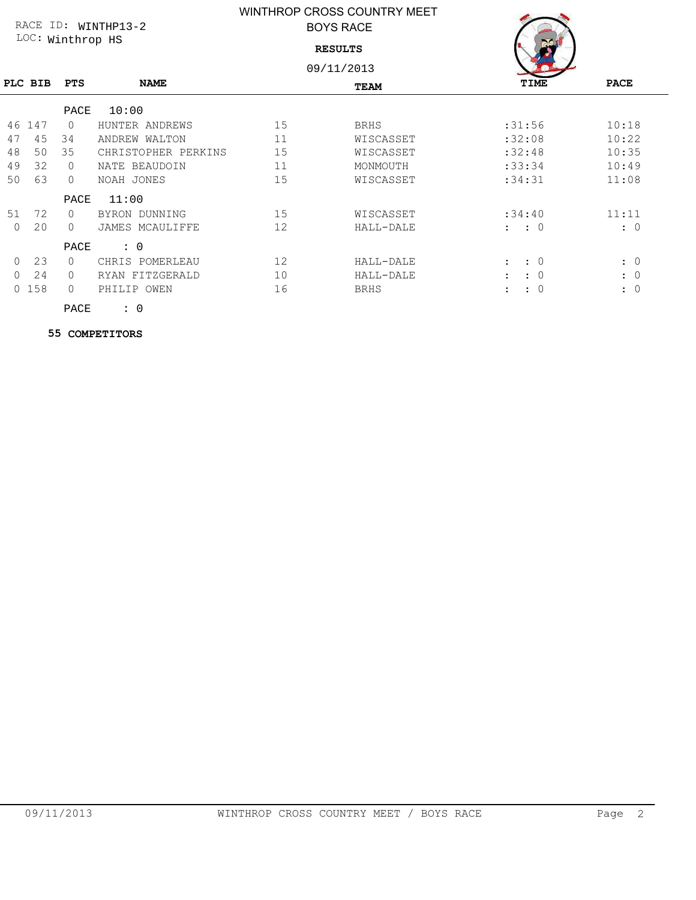## WINTHROP CROSS COUNTRY MEET BOYS RACE

LOC: Winthrop HS RACE ID: WINTHP13-2

**RESULTS**

09/11/2013

| TIME |  |
|------|--|

|          | PLC BIB | <b>PTS</b> | <b>NAME</b>         |    | <b>TEAM</b> | TIME                        | <b>PACE</b> |
|----------|---------|------------|---------------------|----|-------------|-----------------------------|-------------|
|          |         | PACE       | 10:00               |    |             |                             |             |
| 46       | 147     | $\Omega$   | HUNTER ANDREWS      | 15 | <b>BRHS</b> | :31:56                      | 10:18       |
| 47       | 45      | 34         | ANDREW WALTON       | 11 | WISCASSET   | :32:08                      | 10:22       |
| 48       | 50      | 35         | CHRISTOPHER PERKINS | 15 | WISCASSET   | :32:48                      | 10:35       |
| 49       | 32      | $\Omega$   | NATE BEAUDOIN       | 11 | MONMOUTH    | :33:34                      | 10:49       |
| 50       | 63      | $\Omega$   | NOAH JONES          | 15 | WISCASSET   | :34:31                      | 11:08       |
|          |         | PACE       | 11:00               |    |             |                             |             |
| 51       | 72      | $\Omega$   | BYRON DUNNING       | 15 | WISCASSET   | :34:40                      | 11:11       |
| $\Omega$ | 20      | $\bigcap$  | JAMES MCAULIFFE     | 12 | HALL-DALE   | $\colon$ $\colon$ 0         | $\colon 0$  |
|          |         | PACE       | $\colon 0$          |    |             |                             |             |
| $\Omega$ | 23      | $\Omega$   | POMERLEAU<br>CHRIS  | 12 | HALL-DALE   | $\colon 0$<br>$\mathbf{L}$  | $\colon 0$  |
| $\Omega$ | 24      | $\cap$     | FITZGERALD<br>RYAN  | 10 | HALL-DALE   | $\colon 0$<br>$\mathcal{I}$ | $\colon 0$  |
| $\Omega$ | 158     | $\bigcap$  | PHILIP OWEN         | 16 | <b>BRHS</b> | : 0<br>$\ddot{\phantom{a}}$ | $\colon 0$  |
|          |         | PACE       | : 0                 |    |             |                             |             |

 **55 COMPETITORS**